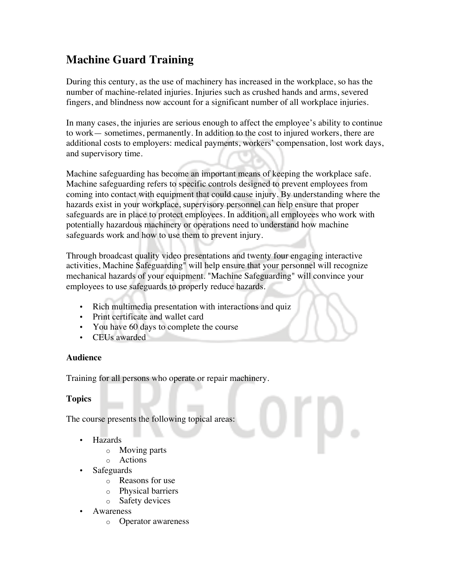## **Machine Guard Training**

During this century, as the use of machinery has increased in the workplace, so has the number of machine-related injuries. Injuries such as crushed hands and arms, severed fingers, and blindness now account for a significant number of all workplace injuries.

In many cases, the injuries are serious enough to affect the employee's ability to continue to work— sometimes, permanently. In addition to the cost to injured workers, there are additional costs to employers: medical payments, workers' compensation, lost work days, and supervisory time.

Machine safeguarding has become an important means of keeping the workplace safe. Machine safeguarding refers to specific controls designed to prevent employees from coming into contact with equipment that could cause injury. By understanding where the hazards exist in your workplace, supervisory personnel can help ensure that proper safeguards are in place to protect employees. In addition, all employees who work with potentially hazardous machinery or operations need to understand how machine safeguards work and how to use them to prevent injury.

Through broadcast quality video presentations and twenty four engaging interactive activities, Machine Safeguarding" will help ensure that your personnel will recognize mechanical hazards of your equipment. "Machine Safeguarding" will convince your employees to use safeguards to properly reduce hazards.

- Rich multimedia presentation with interactions and quiz
- Print certificate and wallet card
- You have 60 days to complete the course
- CEUs awarded

## **Audience**

Training for all persons who operate or repair machinery.

## **Topics**

The course presents the following topical areas:

- Hazards
	- o Moving parts
	- o Actions
- **Safeguards** 
	- o Reasons for use
	- o Physical barriers<br>
	o Safety devices
	- Safety devices
- Awareness
	- o Operator awareness